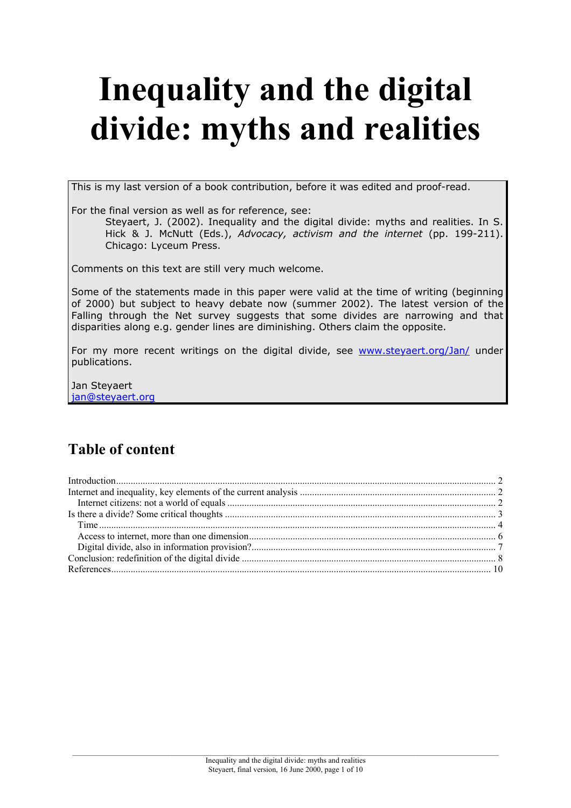# **Inequality and the digital divide: myths and realities**

This is my last version of a book contribution, before it was edited and proof-read.

For the final version as well as for reference, see:

Steyaert, J. (2002). Inequality and the digital divide: myths and realities. In S. Hick & J. McNutt (Eds.), *Advocacy, activism and the internet* (pp. 199-211). Chicago: Lyceum Press.

Comments on this text are still very much welcome.

Some of the statements made in this paper were valid at the time of writing (beginning of 2000) but subject to heavy debate now (summer 2002). The latest version of the Falling through the Net survey suggests that some divides are narrowing and that disparities along e.g. gender lines are diminishing. Others claim the opposite.

For my more recent writings on the digital divide, see [www.steyaert.org/Jan/](http://www.steyaert.org/Jan/) under publications.

Jan Steyaert [jan@steyaert.org](mailto:jan@steyaert.org) 

# **Table of content**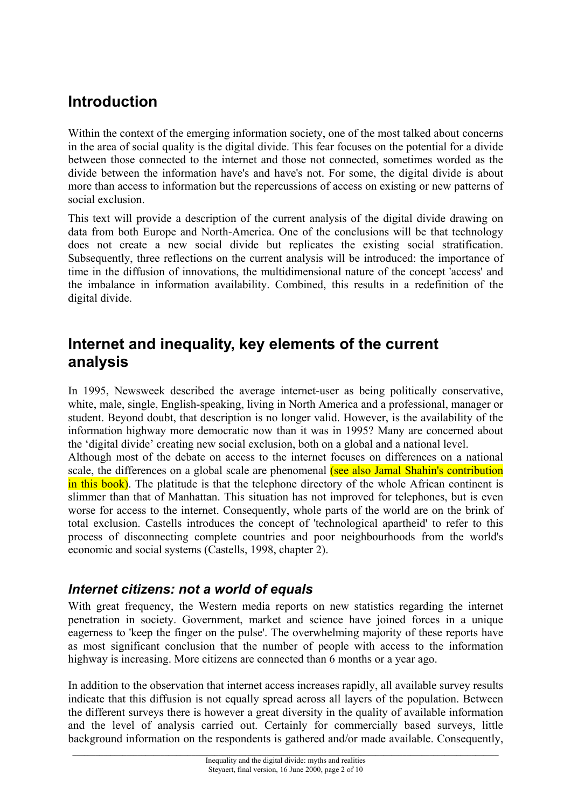# <span id="page-1-0"></span>**Introduction**

Within the context of the emerging information society, one of the most talked about concerns in the area of social quality is the digital divide. This fear focuses on the potential for a divide between those connected to the internet and those not connected, sometimes worded as the divide between the information have's and have's not. For some, the digital divide is about more than access to information but the repercussions of access on existing or new patterns of social exclusion.

This text will provide a description of the current analysis of the digital divide drawing on data from both Europe and North-America. One of the conclusions will be that technology does not create a new social divide but replicates the existing social stratification. Subsequently, three reflections on the current analysis will be introduced: the importance of time in the diffusion of innovations, the multidimensional nature of the concept 'access' and the imbalance in information availability. Combined, this results in a redefinition of the digital divide.

## **Internet and inequality, key elements of the current analysis**

In 1995, Newsweek described the average internet-user as being politically conservative, white, male, single, English-speaking, living in North America and a professional, manager or student. Beyond doubt, that description is no longer valid. However, is the availability of the information highway more democratic now than it was in 1995? Many are concerned about the 'digital divide' creating new social exclusion, both on a global and a national level.

Although most of the debate on access to the internet focuses on differences on a national scale, the differences on a global scale are phenomenal (see also Jamal Shahin's contribution in this book). The platitude is that the telephone directory of the whole African continent is slimmer than that of Manhattan. This situation has not improved for telephones, but is even worse for access to the internet. Consequently, whole parts of the world are on the brink of total exclusion. Castells introduces the concept of 'technological apartheid' to refer to this process of disconnecting complete countries and poor neighbourhoods from the world's economic and social systems (Castells, 1998, chapter 2).

## *Internet citizens: not a world of equals*

With great frequency, the Western media reports on new statistics regarding the internet penetration in society. Government, market and science have joined forces in a unique eagerness to 'keep the finger on the pulse'. The overwhelming majority of these reports have as most significant conclusion that the number of people with access to the information highway is increasing. More citizens are connected than 6 months or a year ago.

In addition to the observation that internet access increases rapidly, all available survey results indicate that this diffusion is not equally spread across all layers of the population. Between the different surveys there is however a great diversity in the quality of available information and the level of analysis carried out. Certainly for commercially based surveys, little background information on the respondents is gathered and/or made available. Consequently,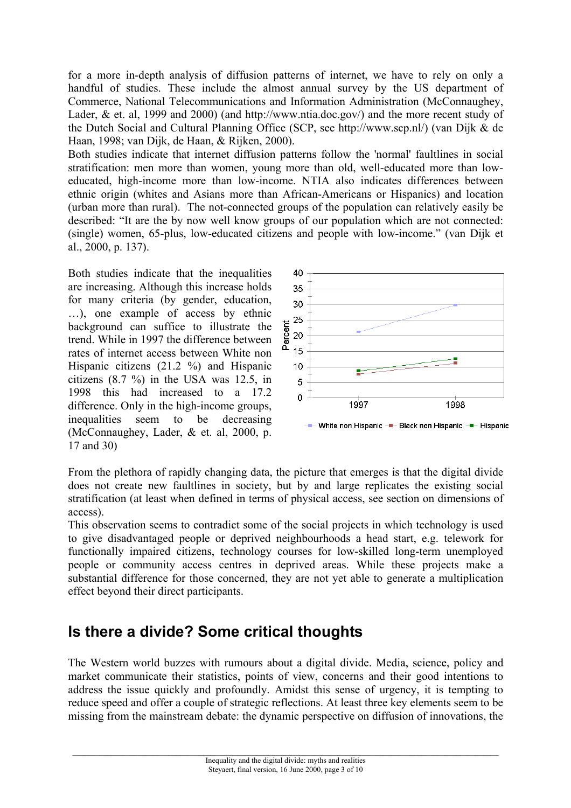<span id="page-2-0"></span>for a more in-depth analysis of diffusion patterns of internet, we have to rely on only a handful of studies. These include the almost annual survey by the US department of Commerce, National Telecommunications and Information Administration (McConnaughey, Lader, & et. al, 1999 and 2000) (and [http://www.ntia.doc.gov/\)](http://www.ntia.doc.gov/) and the more recent study of the Dutch Social and Cultural Planning Office (SCP, see http://www.scp.nl/) (van Dijk & de Haan, 1998; van Dijk, de Haan, & Rijken, 2000).

Both studies indicate that internet diffusion patterns follow the 'normal' faultlines in social stratification: men more than women, young more than old, well-educated more than loweducated, high-income more than low-income. NTIA also indicates differences between ethnic origin (whites and Asians more than African-Americans or Hispanics) and location (urban more than rural). The not-connected groups of the population can relatively easily be described: "It are the by now well know groups of our population which are not connected: (single) women, 65-plus, low-educated citizens and people with low-income." (van Dijk et al., 2000, p. 137).

Both studies indicate that the inequalities are increasing. Although this increase holds for many criteria (by gender, education, …), one example of access by ethnic background can suffice to illustrate the trend. While in 1997 the difference between rates of internet access between White non Hispanic citizens (21.2 %) and Hispanic citizens (8.7 %) in the USA was 12.5, in 1998 this had increased to a 17.2 difference. Only in the high-income groups, inequalities seem to be decreasing (McConnaughey, Lader, & et. al, 2000, p. 17 and 30)



From the plethora of rapidly changing data, the picture that emerges is that the digital divide does not create new faultlines in society, but by and large replicates the existing social stratification (at least when defined in terms of physical access, see section on dimensions of access).

This observation seems to contradict some of the social projects in which technology is used to give disadvantaged people or deprived neighbourhoods a head start, e.g. telework for functionally impaired citizens, technology courses for low-skilled long-term unemployed people or community access centres in deprived areas. While these projects make a substantial difference for those concerned, they are not yet able to generate a multiplication effect beyond their direct participants.

## **Is there a divide? Some critical thoughts**

The Western world buzzes with rumours about a digital divide. Media, science, policy and market communicate their statistics, points of view, concerns and their good intentions to address the issue quickly and profoundly. Amidst this sense of urgency, it is tempting to reduce speed and offer a couple of strategic reflections. At least three key elements seem to be missing from the mainstream debate: the dynamic perspective on diffusion of innovations, the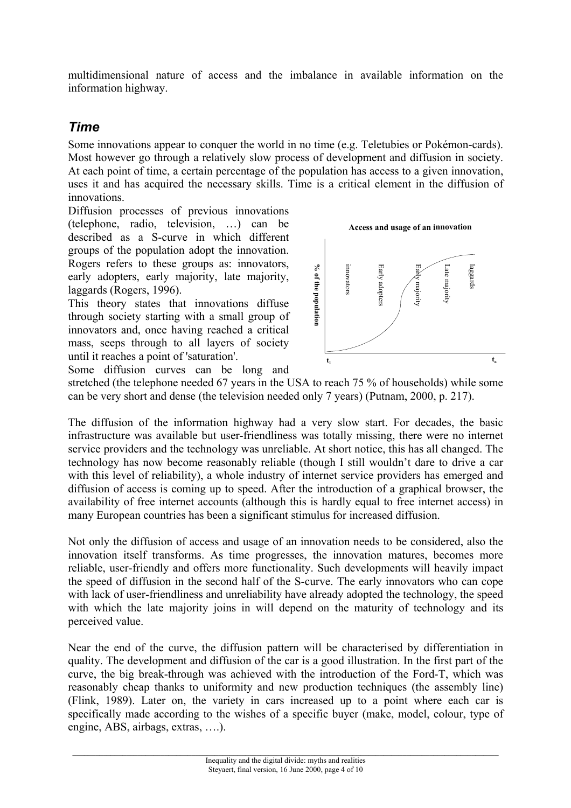<span id="page-3-0"></span>multidimensional nature of access and the imbalance in available information on the information highway.

### *Time*

Some innovations appear to conquer the world in no time (e.g. Teletubies or Pokémon-cards). Most however go through a relatively slow process of development and diffusion in society. At each point of time, a certain percentage of the population has access to a given innovation, uses it and has acquired the necessary skills. Time is a critical element in the diffusion of innovations.

Diffusion processes of previous innovations (telephone, radio, television, …) can be described as a S-curve in which different groups of the population adopt the innovation. Rogers refers to these groups as: innovators, early adopters, early majority, late majority, laggards (Rogers, 1996).

This theory states that innovations diffuse through society starting with a small group of innovators and, once having reached a critical mass, seeps through to all layers of society until it reaches a point of 'saturation'.



Some diffusion curves can be long and

stretched (the telephone needed 67 years in the USA to reach 75 % of households) while some can be very short and dense (the television needed only 7 years) (Putnam, 2000, p. 217).

The diffusion of the information highway had a very slow start. For decades, the basic infrastructure was available but user-friendliness was totally missing, there were no internet service providers and the technology was unreliable. At short notice, this has all changed. The technology has now become reasonably reliable (though I still wouldn't dare to drive a car with this level of reliability), a whole industry of internet service providers has emerged and diffusion of access is coming up to speed. After the introduction of a graphical browser, the availability of free internet accounts (although this is hardly equal to free internet access) in many European countries has been a significant stimulus for increased diffusion.

Not only the diffusion of access and usage of an innovation needs to be considered, also the innovation itself transforms. As time progresses, the innovation matures, becomes more reliable, user-friendly and offers more functionality. Such developments will heavily impact the speed of diffusion in the second half of the S-curve. The early innovators who can cope with lack of user-friendliness and unreliability have already adopted the technology, the speed with which the late majority joins in will depend on the maturity of technology and its perceived value.

Near the end of the curve, the diffusion pattern will be characterised by differentiation in quality. The development and diffusion of the car is a good illustration. In the first part of the curve, the big break-through was achieved with the introduction of the Ford-T, which was reasonably cheap thanks to uniformity and new production techniques (the assembly line) (Flink, 1989). Later on, the variety in cars increased up to a point where each car is specifically made according to the wishes of a specific buyer (make, model, colour, type of engine, ABS, airbags, extras, ….).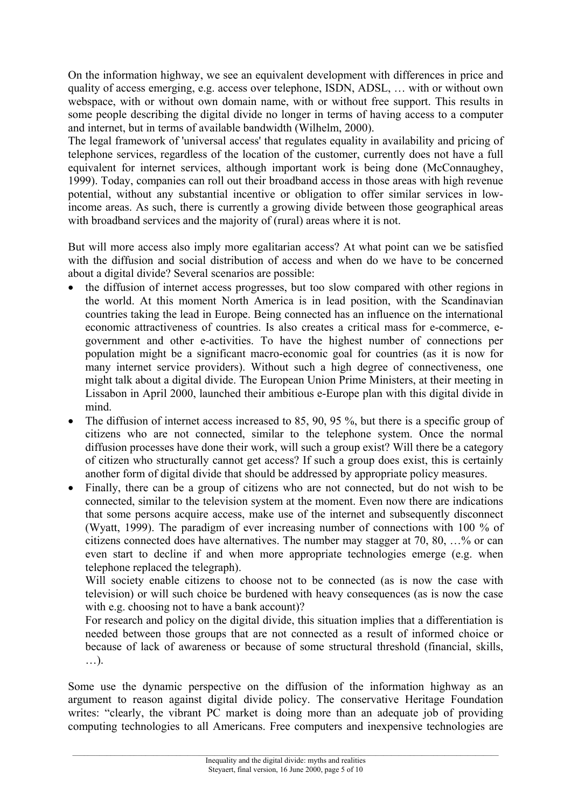On the information highway, we see an equivalent development with differences in price and quality of access emerging, e.g. access over telephone, ISDN, ADSL, … with or without own webspace, with or without own domain name, with or without free support. This results in some people describing the digital divide no longer in terms of having access to a computer and internet, but in terms of available bandwidth (Wilhelm, 2000).

The legal framework of 'universal access' that regulates equality in availability and pricing of telephone services, regardless of the location of the customer, currently does not have a full equivalent for internet services, although important work is being done (McConnaughey, 1999). Today, companies can roll out their broadband access in those areas with high revenue potential, without any substantial incentive or obligation to offer similar services in lowincome areas. As such, there is currently a growing divide between those geographical areas with broadband services and the majority of (rural) areas where it is not.

But will more access also imply more egalitarian access? At what point can we be satisfied with the diffusion and social distribution of access and when do we have to be concerned about a digital divide? Several scenarios are possible:

- the diffusion of internet access progresses, but too slow compared with other regions in the world. At this moment North America is in lead position, with the Scandinavian countries taking the lead in Europe. Being connected has an influence on the international economic attractiveness of countries. Is also creates a critical mass for e-commerce, egovernment and other e-activities. To have the highest number of connections per population might be a significant macro-economic goal for countries (as it is now for many internet service providers). Without such a high degree of connectiveness, one might talk about a digital divide. The European Union Prime Ministers, at their meeting in Lissabon in April 2000, launched their ambitious e-Europe plan with this digital divide in mind.
- The diffusion of internet access increased to 85, 90, 95 %, but there is a specific group of citizens who are not connected, similar to the telephone system. Once the normal diffusion processes have done their work, will such a group exist? Will there be a category of citizen who structurally cannot get access? If such a group does exist, this is certainly another form of digital divide that should be addressed by appropriate policy measures.
- Finally, there can be a group of citizens who are not connected, but do not wish to be connected, similar to the television system at the moment. Even now there are indications that some persons acquire access, make use of the internet and subsequently disconnect (Wyatt, 1999). The paradigm of ever increasing number of connections with 100 % of citizens connected does have alternatives. The number may stagger at 70, 80, …% or can even start to decline if and when more appropriate technologies emerge (e.g. when telephone replaced the telegraph).

Will society enable citizens to choose not to be connected (as is now the case with television) or will such choice be burdened with heavy consequences (as is now the case with e.g. choosing not to have a bank account)?

For research and policy on the digital divide, this situation implies that a differentiation is needed between those groups that are not connected as a result of informed choice or because of lack of awareness or because of some structural threshold (financial, skills, …).

Some use the dynamic perspective on the diffusion of the information highway as an argument to reason against digital divide policy. The conservative Heritage Foundation writes: "clearly, the vibrant PC market is doing more than an adequate job of providing computing technologies to all Americans. Free computers and inexpensive technologies are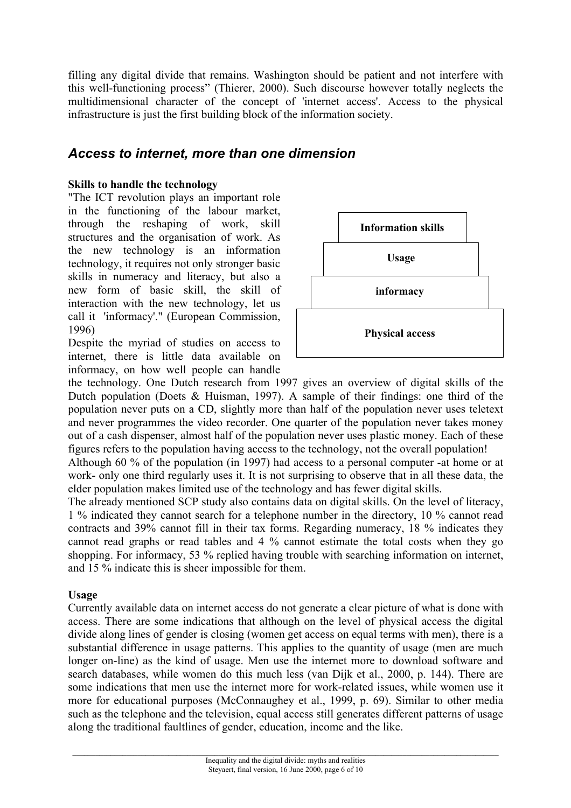<span id="page-5-0"></span>filling any digital divide that remains. Washington should be patient and not interfere with this well-functioning process" (Thierer, 2000). Such discourse however totally neglects the multidimensional character of the concept of 'internet access'. Access to the physical infrastructure is just the first building block of the information society.

## *Access to internet, more than one dimension*

#### **Skills to handle the technology**

"The ICT revolution plays an important role in the functioning of the labour market, through the reshaping of work, skill structures and the organisation of work. As the new technology is an information technology, it requires not only stronger basic skills in numeracy and literacy, but also a new form of basic skill, the skill of interaction with the new technology, let us call it 'informacy'." (European Commission, 1996)

Despite the myriad of studies on access to internet, there is little data available on informacy, on how well people can handle



the technology. One Dutch research from 1997 gives an overview of digital skills of the Dutch population (Doets & Huisman, 1997). A sample of their findings: one third of the population never puts on a CD, slightly more than half of the population never uses teletext and never programmes the video recorder. One quarter of the population never takes money out of a cash dispenser, almost half of the population never uses plastic money. Each of these figures refers to the population having access to the technology, not the overall population!

Although 60 % of the population (in 1997) had access to a personal computer -at home or at work- only one third regularly uses it. It is not surprising to observe that in all these data, the elder population makes limited use of the technology and has fewer digital skills.

The already mentioned SCP study also contains data on digital skills. On the level of literacy, 1 % indicated they cannot search for a telephone number in the directory, 10 % cannot read contracts and 39% cannot fill in their tax forms. Regarding numeracy, 18 % indicates they cannot read graphs or read tables and 4 % cannot estimate the total costs when they go shopping. For informacy, 53 % replied having trouble with searching information on internet, and 15 % indicate this is sheer impossible for them.

#### **Usage**

Currently available data on internet access do not generate a clear picture of what is done with access. There are some indications that although on the level of physical access the digital divide along lines of gender is closing (women get access on equal terms with men), there is a substantial difference in usage patterns. This applies to the quantity of usage (men are much longer on-line) as the kind of usage. Men use the internet more to download software and search databases, while women do this much less (van Dijk et al., 2000, p. 144). There are some indications that men use the internet more for work-related issues, while women use it more for educational purposes (McConnaughey et al., 1999, p. 69). Similar to other media such as the telephone and the television, equal access still generates different patterns of usage along the traditional faultlines of gender, education, income and the like.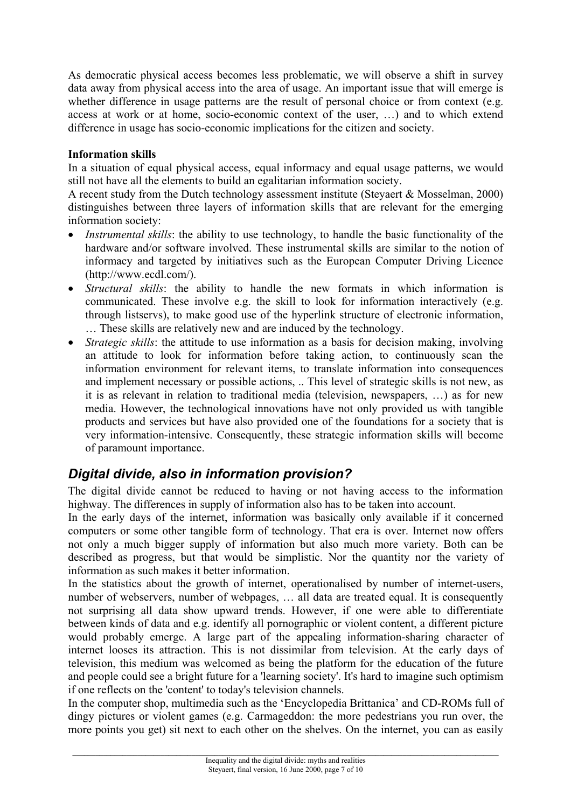<span id="page-6-0"></span>As democratic physical access becomes less problematic, we will observe a shift in survey data away from physical access into the area of usage. An important issue that will emerge is whether difference in usage patterns are the result of personal choice or from context (e.g. access at work or at home, socio-economic context of the user, …) and to which extend difference in usage has socio-economic implications for the citizen and society.

#### **Information skills**

In a situation of equal physical access, equal informacy and equal usage patterns, we would still not have all the elements to build an egalitarian information society.

A recent study from the Dutch technology assessment institute (Steyaert & Mosselman, 2000) distinguishes between three layers of information skills that are relevant for the emerging information society:

- *Instrumental skills*: the ability to use technology, to handle the basic functionality of the hardware and/or software involved. These instrumental skills are similar to the notion of informacy and targeted by initiatives such as the European Computer Driving Licence (http://www.ecdl.com/).
- *Structural skills*: the ability to handle the new formats in which information is communicated. These involve e.g. the skill to look for information interactively (e.g. through listservs), to make good use of the hyperlink structure of electronic information, … These skills are relatively new and are induced by the technology.
- *Strategic skills*: the attitude to use information as a basis for decision making, involving an attitude to look for information before taking action, to continuously scan the information environment for relevant items, to translate information into consequences and implement necessary or possible actions, .. This level of strategic skills is not new, as it is as relevant in relation to traditional media (television, newspapers, …) as for new media. However, the technological innovations have not only provided us with tangible products and services but have also provided one of the foundations for a society that is very information-intensive. Consequently, these strategic information skills will become of paramount importance.

## *Digital divide, also in information provision?*

The digital divide cannot be reduced to having or not having access to the information highway. The differences in supply of information also has to be taken into account.

In the early days of the internet, information was basically only available if it concerned computers or some other tangible form of technology. That era is over. Internet now offers not only a much bigger supply of information but also much more variety. Both can be described as progress, but that would be simplistic. Nor the quantity nor the variety of information as such makes it better information.

In the statistics about the growth of internet, operationalised by number of internet-users, number of webservers, number of webpages, … all data are treated equal. It is consequently not surprising all data show upward trends. However, if one were able to differentiate between kinds of data and e.g. identify all pornographic or violent content, a different picture would probably emerge. A large part of the appealing information-sharing character of internet looses its attraction. This is not dissimilar from television. At the early days of television, this medium was welcomed as being the platform for the education of the future and people could see a bright future for a 'learning society'. It's hard to imagine such optimism if one reflects on the 'content' to today's television channels.

In the computer shop, multimedia such as the 'Encyclopedia Brittanica' and CD-ROMs full of dingy pictures or violent games (e.g. Carmageddon: the more pedestrians you run over, the more points you get) sit next to each other on the shelves. On the internet, you can as easily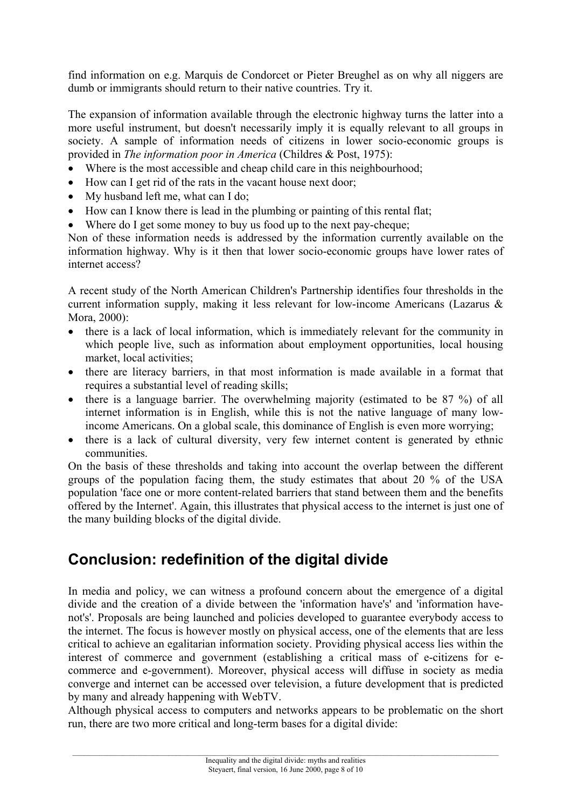<span id="page-7-0"></span>find information on e.g. Marquis de Condorcet or Pieter Breughel as on why all niggers are dumb or immigrants should return to their native countries. Try it.

The expansion of information available through the electronic highway turns the latter into a more useful instrument, but doesn't necessarily imply it is equally relevant to all groups in society. A sample of information needs of citizens in lower socio-economic groups is provided in *The information poor in America* (Childres & Post, 1975):

- Where is the most accessible and cheap child care in this neighbourhood;
- How can I get rid of the rats in the vacant house next door;
- My husband left me, what can I do;
- How can I know there is lead in the plumbing or painting of this rental flat;
- Where do I get some money to buy us food up to the next pay-cheque;

Non of these information needs is addressed by the information currently available on the information highway. Why is it then that lower socio-economic groups have lower rates of internet access?

A recent study of the North American Children's Partnership identifies four thresholds in the current information supply, making it less relevant for low-income Americans (Lazarus & Mora, 2000):

- there is a lack of local information, which is immediately relevant for the community in which people live, such as information about employment opportunities, local housing market, local activities;
- there are literacy barriers, in that most information is made available in a format that requires a substantial level of reading skills;
- there is a language barrier. The overwhelming majority (estimated to be 87 %) of all internet information is in English, while this is not the native language of many lowincome Americans. On a global scale, this dominance of English is even more worrying;
- there is a lack of cultural diversity, very few internet content is generated by ethnic communities.

On the basis of these thresholds and taking into account the overlap between the different groups of the population facing them, the study estimates that about 20 % of the USA population 'face one or more content-related barriers that stand between them and the benefits offered by the Internet'. Again, this illustrates that physical access to the internet is just one of the many building blocks of the digital divide.

# **Conclusion: redefinition of the digital divide**

In media and policy, we can witness a profound concern about the emergence of a digital divide and the creation of a divide between the 'information have's' and 'information havenot's'. Proposals are being launched and policies developed to guarantee everybody access to the internet. The focus is however mostly on physical access, one of the elements that are less critical to achieve an egalitarian information society. Providing physical access lies within the interest of commerce and government (establishing a critical mass of e-citizens for ecommerce and e-government). Moreover, physical access will diffuse in society as media converge and internet can be accessed over television, a future development that is predicted by many and already happening with WebTV.

Although physical access to computers and networks appears to be problematic on the short run, there are two more critical and long-term bases for a digital divide: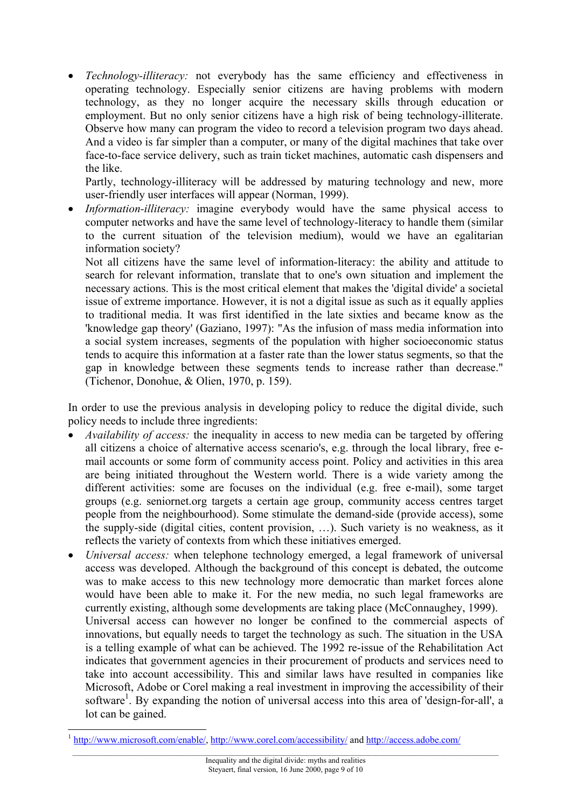• *Technology-illiteracy:* not everybody has the same efficiency and effectiveness in operating technology. Especially senior citizens are having problems with modern technology, as they no longer acquire the necessary skills through education or employment. But no only senior citizens have a high risk of being technology-illiterate. Observe how many can program the video to record a television program two days ahead. And a video is far simpler than a computer, or many of the digital machines that take over face-to-face service delivery, such as train ticket machines, automatic cash dispensers and the like.

Partly, technology-illiteracy will be addressed by maturing technology and new, more user-friendly user interfaces will appear (Norman, 1999).

• *Information-illiteracy:* imagine everybody would have the same physical access to computer networks and have the same level of technology-literacy to handle them (similar to the current situation of the television medium), would we have an egalitarian information society?

Not all citizens have the same level of information-literacy: the ability and attitude to search for relevant information, translate that to one's own situation and implement the necessary actions. This is the most critical element that makes the 'digital divide' a societal issue of extreme importance. However, it is not a digital issue as such as it equally applies to traditional media. It was first identified in the late sixties and became know as the 'knowledge gap theory' (Gaziano, 1997): "As the infusion of mass media information into a social system increases, segments of the population with higher socioeconomic status tends to acquire this information at a faster rate than the lower status segments, so that the gap in knowledge between these segments tends to increase rather than decrease." (Tichenor, Donohue, & Olien, 1970, p. 159).

In order to use the previous analysis in developing policy to reduce the digital divide, such policy needs to include three ingredients:

- *Availability of access:* the inequality in access to new media can be targeted by offering all citizens a choice of alternative access scenario's, e.g. through the local library, free email accounts or some form of community access point. Policy and activities in this area are being initiated throughout the Western world. There is a wide variety among the different activities: some are focuses on the individual (e.g. free e-mail), some target groups (e.g. seniornet.org targets a certain age group, community access centres target people from the neighbourhood). Some stimulate the demand-side (provide access), some the supply-side (digital cities, content provision, …). Such variety is no weakness, as it reflects the variety of contexts from which these initiatives emerged.
- *Universal access:* when telephone technology emerged, a legal framework of universal access was developed. Although the background of this concept is debated, the outcome was to make access to this new technology more democratic than market forces alone would have been able to make it. For the new media, no such legal frameworks are currently existing, although some developments are taking place (McConnaughey, 1999). Universal access can however no longer be confined to the commercial aspects of innovations, but equally needs to target the technology as such. The situation in the USA is a telling example of what can be achieved. The 1992 re-issue of the Rehabilitation Act indicates that government agencies in their procurement of products and services need to take into account accessibility. This and similar laws have resulted in companies like Microsoft, Adobe or Corel making a real investment in improving the accessibility of their software<sup>1</sup>. By expanding the notion of universal access into this area of 'design-for-all', a lot can be gained.

 <sup>1</sup> [http://www.microsoft.com/enable/,](http://www.microsoft.com/enable/)<http://www.corel.com/accessibility/> and <http://access.adobe.com/>